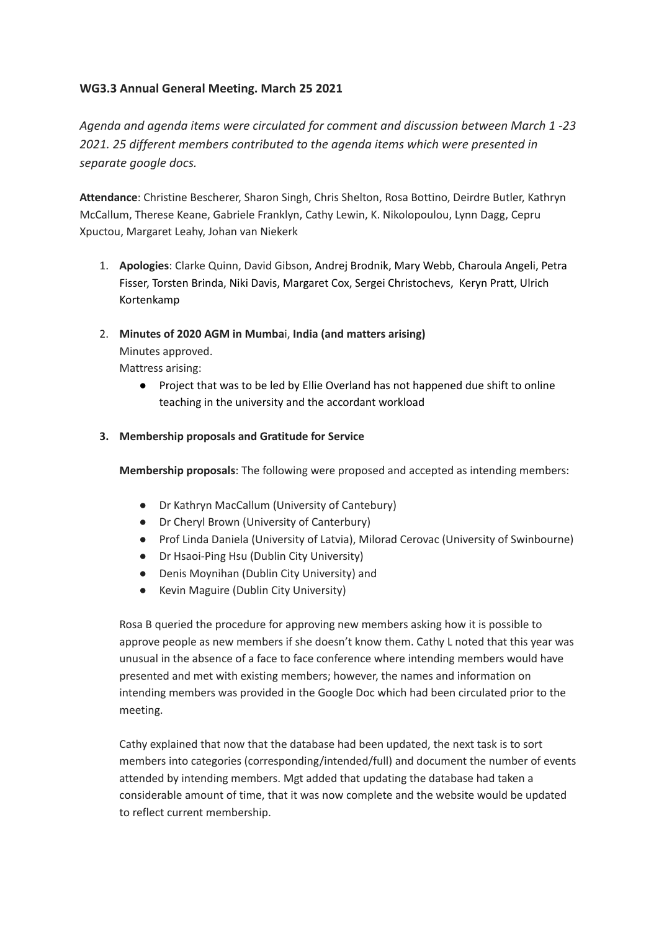# **WG3.3 Annual General Meeting. March 25 2021**

*Agenda and agenda items were circulated for comment and discussion between March 1 -23 2021. 25 different members contributed to the agenda items which were presented in separate google docs.*

**Attendance**: Christine Bescherer, Sharon Singh, Chris Shelton, Rosa Bottino, Deirdre Butler, Kathryn McCallum, Therese Keane, Gabriele Franklyn, Cathy Lewin, K. Nikolopoulou, Lynn Dagg, Cepru Xpuctou, Margaret Leahy, Johan van Niekerk

- 1. **Apologies**: Clarke Quinn, David Gibson, Andrej Brodnik, Mary Webb, Charoula Angeli, Petra Fisser, Torsten Brinda, Niki Davis, Margaret Cox, Sergei Christochevs, Keryn Pratt, Ulrich Kortenkamp
- 2. **Minutes of 2020 AGM in Mumba**i, **India (and matters arising)** Minutes approved.

Mattress arising:

● Project that was to be led by Ellie Overland has not happened due shift to online teaching in the university and the accordant workload

### **3. Membership proposals and Gratitude for Service**

**Membership proposals**: The following were proposed and accepted as intending members:

- Dr Kathryn MacCallum (University of Cantebury)
- Dr Cheryl Brown (University of Canterbury)
- Prof Linda Daniela (University of Latvia), Milorad Cerovac (University of Swinbourne)
- Dr Hsaoi-Ping Hsu (Dublin City University)
- Denis Moynihan (Dublin City University) and
- Kevin Maguire (Dublin City University)

Rosa B queried the procedure for approving new members asking how it is possible to approve people as new members if she doesn't know them. Cathy L noted that this year was unusual in the absence of a face to face conference where intending members would have presented and met with existing members; however, the names and information on intending members was provided in the Google Doc which had been circulated prior to the meeting.

Cathy explained that now that the database had been updated, the next task is to sort members into categories (corresponding/intended/full) and document the number of events attended by intending members. Mgt added that updating the database had taken a considerable amount of time, that it was now complete and the website would be updated to reflect current membership.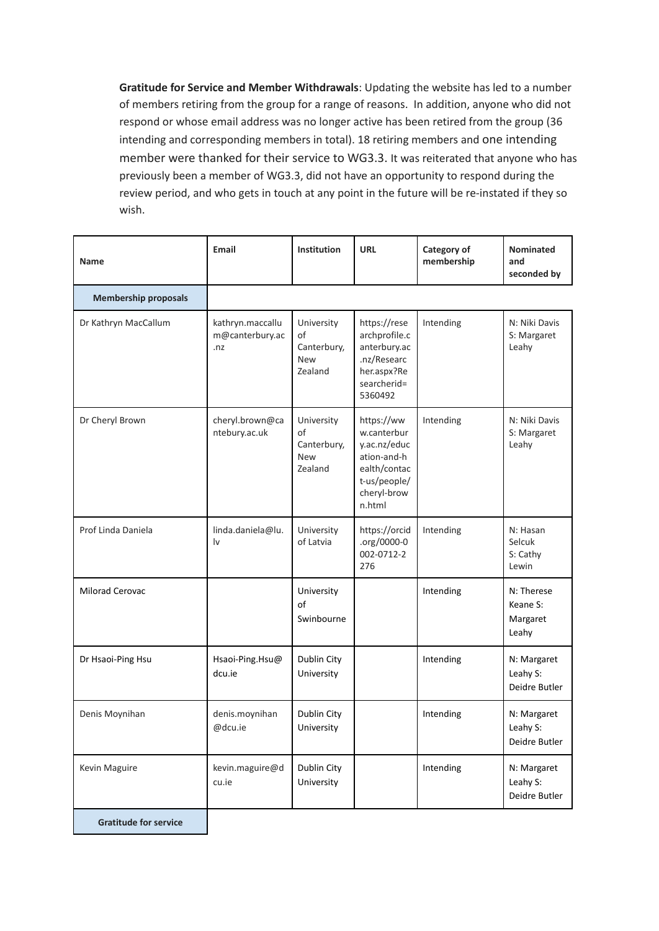**Gratitude for Service and Member Withdrawals**: Updating the website has led to a number of members retiring from the group for a range of reasons. In addition, anyone who did not respond or whose email address was no longer active has been retired from the group (36 intending and corresponding members in total). 18 retiring members and one intending member were thanked for their service to WG3.3. It was reiterated that anyone who has previously been a member of WG3.3, did not have an opportunity to respond during the review period, and who gets in touch at any point in the future will be re-instated if they so wish.

| Name                         | <b>Email</b>                               | <b>Institution</b>                                       | <b>URL</b>                                                                                                        | Category of<br>membership | <b>Nominated</b><br>and<br>seconded by      |
|------------------------------|--------------------------------------------|----------------------------------------------------------|-------------------------------------------------------------------------------------------------------------------|---------------------------|---------------------------------------------|
| <b>Membership proposals</b>  |                                            |                                                          |                                                                                                                   |                           |                                             |
| Dr Kathryn MacCallum         | kathryn.maccallu<br>m@canterbury.ac<br>.nz | University<br>of<br>Canterbury,<br>New<br>Zealand        | https://rese<br>archprofile.c<br>anterbury.ac<br>.nz/Researc<br>her.aspx?Re<br>searcherid=<br>5360492             | Intending                 | N: Niki Davis<br>S: Margaret<br>Leahy       |
| Dr Cheryl Brown              | cheryl.brown@ca<br>ntebury.ac.uk           | University<br>of<br>Canterbury,<br><b>New</b><br>Zealand | https://ww<br>w.canterbur<br>y.ac.nz/educ<br>ation-and-h<br>ealth/contac<br>t-us/people/<br>cheryl-brow<br>n.html | Intending                 | N: Niki Davis<br>S: Margaret<br>Leahy       |
| Prof Linda Daniela           | linda.daniela@lu.<br>١v                    | University<br>of Latvia                                  | https://orcid<br>.org/0000-0<br>002-0712-2<br>276                                                                 | Intending                 | N: Hasan<br>Selcuk<br>S: Cathy<br>Lewin     |
| Milorad Cerovac              |                                            | University<br>of<br>Swinbourne                           |                                                                                                                   | Intending                 | N: Therese<br>Keane S:<br>Margaret<br>Leahy |
| Dr Hsaoi-Ping Hsu            | Hsaoi-Ping.Hsu@<br>dcu.ie                  | Dublin City<br>University                                |                                                                                                                   | Intending                 | N: Margaret<br>Leahy S:<br>Deidre Butler    |
| Denis Moynihan               | denis.moynihan<br>@dcu.ie                  | Dublin City<br>University                                |                                                                                                                   | Intending                 | N: Margaret<br>Leahy S:<br>Deidre Butler    |
| Kevin Maguire                | kevin.maguire@d<br>cu.ie                   | Dublin City<br>University                                |                                                                                                                   | Intending                 | N: Margaret<br>Leahy S:<br>Deidre Butler    |
| <b>Gratitude for service</b> |                                            |                                                          |                                                                                                                   |                           |                                             |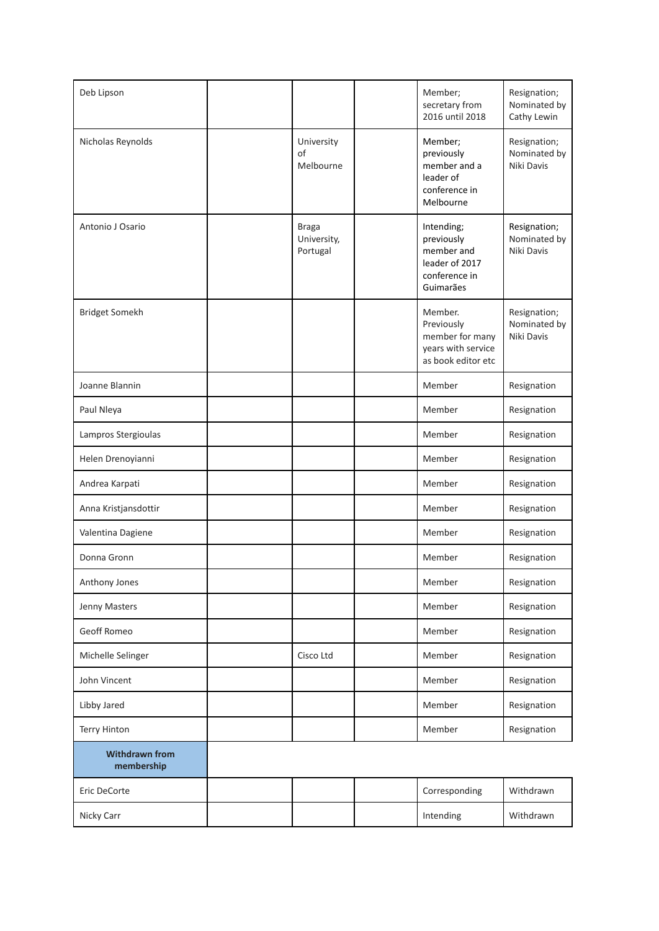| Deb Lipson                          |                                         | Member;<br>secretary from<br>2016 until 2018                                           | Resignation;<br>Nominated by<br>Cathy Lewin |
|-------------------------------------|-----------------------------------------|----------------------------------------------------------------------------------------|---------------------------------------------|
| Nicholas Reynolds                   | University<br>of<br>Melbourne           | Member;<br>previously<br>member and a<br>leader of<br>conference in<br>Melbourne       | Resignation;<br>Nominated by<br>Niki Davis  |
| Antonio J Osario                    | <b>Braga</b><br>University,<br>Portugal | Intending;<br>previously<br>member and<br>leader of 2017<br>conference in<br>Guimarães | Resignation;<br>Nominated by<br>Niki Davis  |
| Bridget Somekh                      |                                         | Member.<br>Previously<br>member for many<br>years with service<br>as book editor etc   | Resignation;<br>Nominated by<br>Niki Davis  |
| Joanne Blannin                      |                                         | Member                                                                                 | Resignation                                 |
| Paul Nleya                          |                                         | Member                                                                                 | Resignation                                 |
| Lampros Stergioulas                 |                                         | Member                                                                                 | Resignation                                 |
| Helen Drenoyianni                   |                                         | Member                                                                                 | Resignation                                 |
| Andrea Karpati                      |                                         | Member                                                                                 | Resignation                                 |
| Anna Kristjansdottir                |                                         | Member                                                                                 | Resignation                                 |
| Valentina Dagiene                   |                                         | Member                                                                                 | Resignation                                 |
| Donna Gronn                         |                                         | Member                                                                                 | Resignation                                 |
| Anthony Jones                       |                                         | Member                                                                                 | Resignation                                 |
| Jenny Masters                       |                                         | Member                                                                                 | Resignation                                 |
| Geoff Romeo                         |                                         | Member                                                                                 | Resignation                                 |
| Michelle Selinger                   | Cisco Ltd                               | Member                                                                                 | Resignation                                 |
| John Vincent                        |                                         | Member                                                                                 | Resignation                                 |
| Libby Jared                         |                                         | Member                                                                                 | Resignation                                 |
| Terry Hinton                        |                                         | Member                                                                                 | Resignation                                 |
| <b>Withdrawn from</b><br>membership |                                         |                                                                                        |                                             |
| Eric DeCorte                        |                                         | Corresponding                                                                          | Withdrawn                                   |
| Nicky Carr                          |                                         | Intending                                                                              | Withdrawn                                   |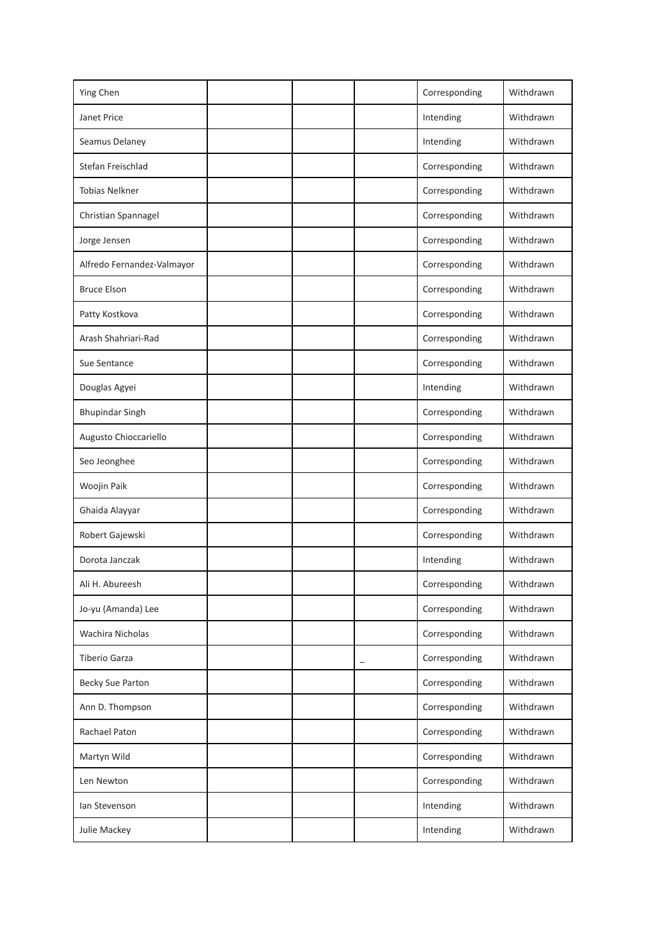| Ying Chen                  |  | Corresponding | Withdrawn |
|----------------------------|--|---------------|-----------|
| Janet Price                |  | Intending     | Withdrawn |
| Seamus Delaney             |  | Intending     | Withdrawn |
| Stefan Freischlad          |  | Corresponding | Withdrawn |
| <b>Tobias Nelkner</b>      |  | Corresponding | Withdrawn |
| Christian Spannagel        |  | Corresponding | Withdrawn |
| Jorge Jensen               |  | Corresponding | Withdrawn |
| Alfredo Fernandez-Valmayor |  | Corresponding | Withdrawn |
| <b>Bruce Elson</b>         |  | Corresponding | Withdrawn |
| Patty Kostkova             |  | Corresponding | Withdrawn |
| Arash Shahriari-Rad        |  | Corresponding | Withdrawn |
| Sue Sentance               |  | Corresponding | Withdrawn |
| Douglas Agyei              |  | Intending     | Withdrawn |
| <b>Bhupindar Singh</b>     |  | Corresponding | Withdrawn |
| Augusto Chioccariello      |  | Corresponding | Withdrawn |
| Seo Jeonghee               |  | Corresponding | Withdrawn |
| Woojin Paik                |  | Corresponding | Withdrawn |
| Ghaida Alayyar             |  | Corresponding | Withdrawn |
| Robert Gajewski            |  | Corresponding | Withdrawn |
| Dorota Janczak             |  | Intending     | Withdrawn |
| Ali H. Abureesh            |  | Corresponding | Withdrawn |
| Jo-yu (Amanda) Lee         |  | Corresponding | Withdrawn |
| Wachira Nicholas           |  | Corresponding | Withdrawn |
| <b>Tiberio Garza</b>       |  | Corresponding | Withdrawn |
| Becky Sue Parton           |  | Corresponding | Withdrawn |
| Ann D. Thompson            |  | Corresponding | Withdrawn |
| Rachael Paton              |  | Corresponding | Withdrawn |
| Martyn Wild                |  | Corresponding | Withdrawn |
| Len Newton                 |  | Corresponding | Withdrawn |
| Ian Stevenson              |  | Intending     | Withdrawn |
| Julie Mackey               |  | Intending     | Withdrawn |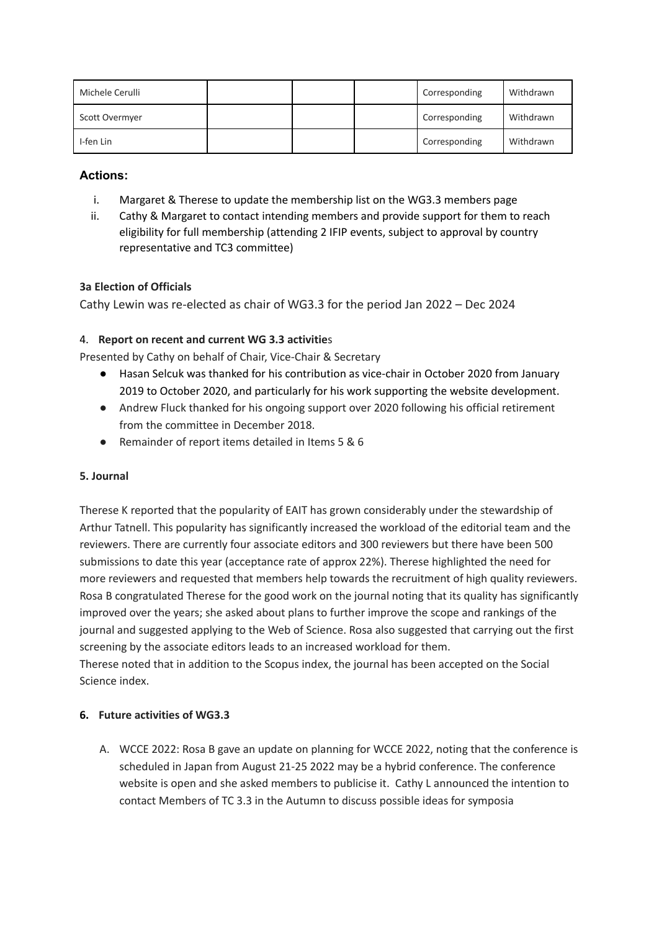| Michele Cerulli |  | Corresponding | Withdrawn |
|-----------------|--|---------------|-----------|
| Scott Overmyer  |  | Corresponding | Withdrawn |
| I-fen Lin       |  | Corresponding | Withdrawn |

**Actions:**

- i. Margaret & Therese to update the membership list on the WG3.3 members page
- ii. Cathy & Margaret to contact intending members and provide support for them to reach eligibility for full membership (attending 2 IFIP events, subject to approval by country representative and TC3 committee)

# **3a Election of Officials**

Cathy Lewin was re-elected as chair of WG3.3 for the period Jan 2022 – Dec 2024

### 4. **Report on recent and current WG 3.3 activitie**s

Presented by Cathy on behalf of Chair, Vice-Chair & Secretary

- Hasan Selcuk was thanked for his contribution as vice-chair in October 2020 from January 2019 to October 2020, and particularly for his work supporting the website development.
- Andrew Fluck thanked for his ongoing support over 2020 following his official retirement from the committee in December 2018.
- Remainder of report items detailed in Items 5 & 6

### **5. Journal**

Therese K reported that the popularity of EAIT has grown considerably under the stewardship of Arthur Tatnell. This popularity has significantly increased the workload of the editorial team and the reviewers. There are currently four associate editors and 300 reviewers but there have been 500 submissions to date this year (acceptance rate of approx 22%). Therese highlighted the need for more reviewers and requested that members help towards the recruitment of high quality reviewers. Rosa B congratulated Therese for the good work on the journal noting that its quality has significantly improved over the years; she asked about plans to further improve the scope and rankings of the journal and suggested applying to the Web of Science. Rosa also suggested that carrying out the first screening by the associate editors leads to an increased workload for them.

Therese noted that in addition to the Scopus index, the journal has been accepted on the Social Science index.

### **6. Future activities of WG3.3**

A. WCCE 2022: Rosa B gave an update on planning for WCCE 2022, noting that the conference is scheduled in Japan from August 21-25 2022 may be a hybrid conference. The conference website is open and she asked members to publicise it. Cathy L announced the intention to contact Members of TC 3.3 in the Autumn to discuss possible ideas for symposia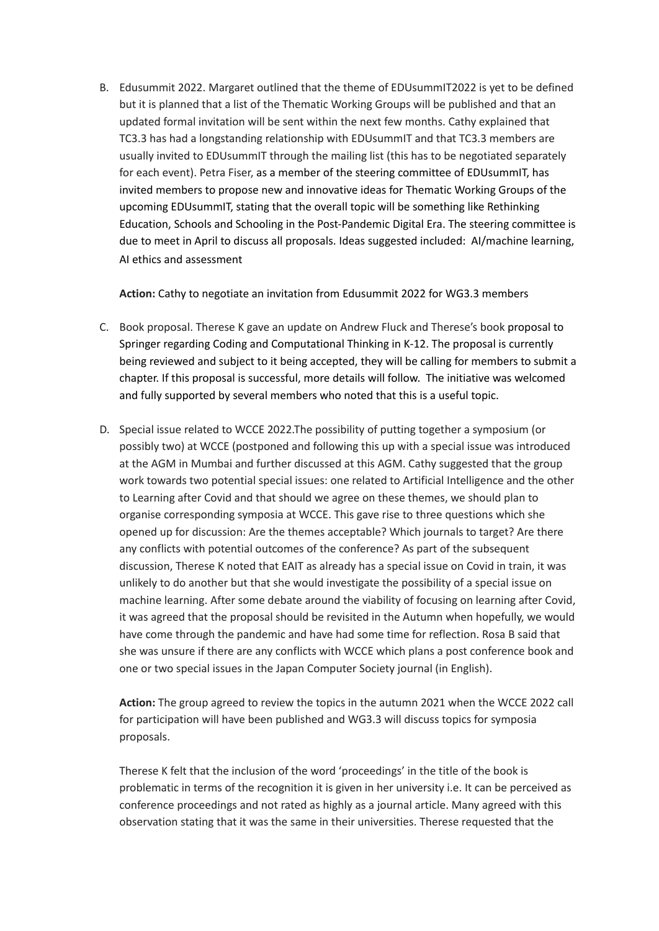B. Edusummit 2022. Margaret outlined that the theme of EDUsummIT2022 is yet to be defined but it is planned that a list of the Thematic Working Groups will be published and that an updated formal invitation will be sent within the next few months. Cathy explained that TC3.3 has had a longstanding relationship with EDUsummIT and that TC3.3 members are usually invited to EDUsummIT through the mailing list (this has to be negotiated separately for each event). Petra Fiser, as a member of the steering committee of EDUsummIT, has invited members to propose new and innovative ideas for Thematic Working Groups of the upcoming EDUsummIT, stating that the overall topic will be something like Rethinking Education, Schools and Schooling in the Post-Pandemic Digital Era. The steering committee is due to meet in April to discuss all proposals. Ideas suggested included: AI/machine learning, AI ethics and assessment

**Action:** Cathy to negotiate an invitation from Edusummit 2022 for WG3.3 members

- C. Book proposal. Therese K gave an update on Andrew Fluck and Therese's book proposal to Springer regarding Coding and Computational Thinking in K-12. The proposal is currently being reviewed and subject to it being accepted, they will be calling for members to submit a chapter. If this proposal is successful, more details will follow. The initiative was welcomed and fully supported by several members who noted that this is a useful topic.
- D. Special issue related to WCCE 2022.The possibility of putting together a symposium (or possibly two) at WCCE (postponed and following this up with a special issue was introduced at the AGM in Mumbai and further discussed at this AGM. Cathy suggested that the group work towards two potential special issues: one related to Artificial Intelligence and the other to Learning after Covid and that should we agree on these themes, we should plan to organise corresponding symposia at WCCE. This gave rise to three questions which she opened up for discussion: Are the themes acceptable? Which journals to target? Are there any conflicts with potential outcomes of the conference? As part of the subsequent discussion, Therese K noted that EAIT as already has a special issue on Covid in train, it was unlikely to do another but that she would investigate the possibility of a special issue on machine learning. After some debate around the viability of focusing on learning after Covid, it was agreed that the proposal should be revisited in the Autumn when hopefully, we would have come through the pandemic and have had some time for reflection. Rosa B said that she was unsure if there are any conflicts with WCCE which plans a post conference book and one or two special issues in the Japan Computer Society journal (in English).

**Action:** The group agreed to review the topics in the autumn 2021 when the WCCE 2022 call for participation will have been published and WG3.3 will discuss topics for symposia proposals.

Therese K felt that the inclusion of the word 'proceedings' in the title of the book is problematic in terms of the recognition it is given in her university i.e. It can be perceived as conference proceedings and not rated as highly as a journal article. Many agreed with this observation stating that it was the same in their universities. Therese requested that the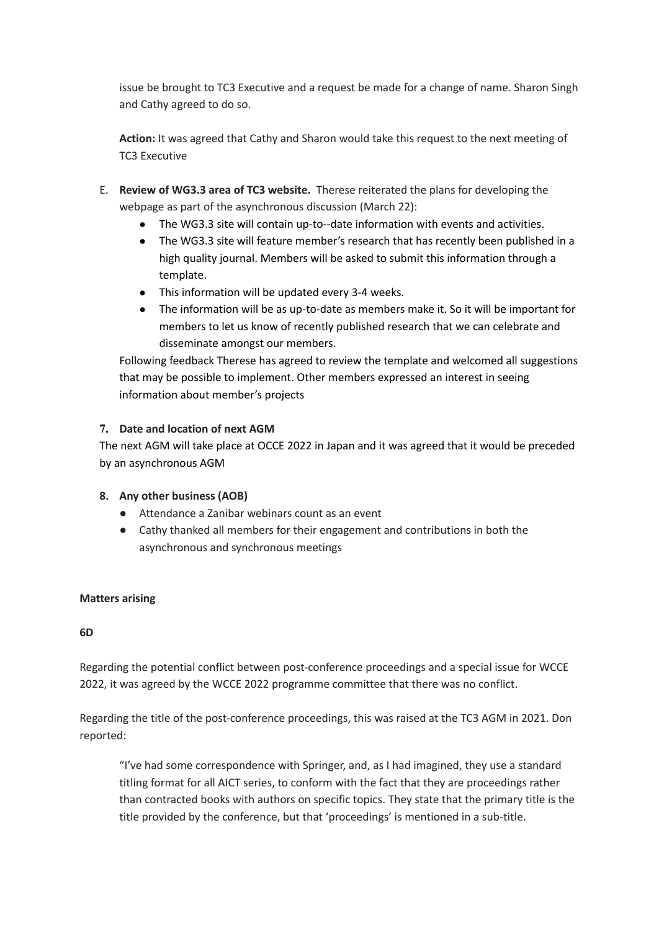issue be brought to TC3 Executive and a request be made for a change of name. Sharon Singh and Cathy agreed to do so.

**Action:** It was agreed that Cathy and Sharon would take this request to the next meeting of TC3 Executive

- E. **Review of WG3.3 area of TC3 website.** Therese reiterated the plans for developing the webpage as part of the asynchronous discussion (March 22):
	- The WG3.3 site will contain up-to--date information with events and activities.
	- The WG3.3 site will feature member's research that has recently been published in a high quality journal. Members will be asked to submit this information through a template.
	- This information will be updated every 3-4 weeks.
	- The information will be as up-to-date as members make it. So it will be important for members to let us know of recently published research that we can celebrate and disseminate amongst our members.

Following feedback Therese has agreed to review the template and welcomed all suggestions that may be possible to implement. Other members expressed an interest in seeing information about member's projects

### **7. Date and location of next AGM**

The next AGM will take place at OCCE 2022 in Japan and it was agreed that it would be preceded by an asynchronous AGM

#### **8. Any other business (AOB)**

- Attendance a Zanibar webinars count as an event
- Cathy thanked all members for their engagement and contributions in both the asynchronous and synchronous meetings

#### **Matters arising**

#### **6D**

Regarding the potential conflict between post-conference proceedings and a special issue for WCCE 2022, it was agreed by the WCCE 2022 programme committee that there was no conflict.

Regarding the title of the post-conference proceedings, this was raised at the TC3 AGM in 2021. Don reported:

"I've had some correspondence with Springer, and, as I had imagined, they use a standard titling format for all AICT series, to conform with the fact that they are proceedings rather than contracted books with authors on specific topics. They state that the primary title is the title provided by the conference, but that 'proceedings' is mentioned in a sub-title.